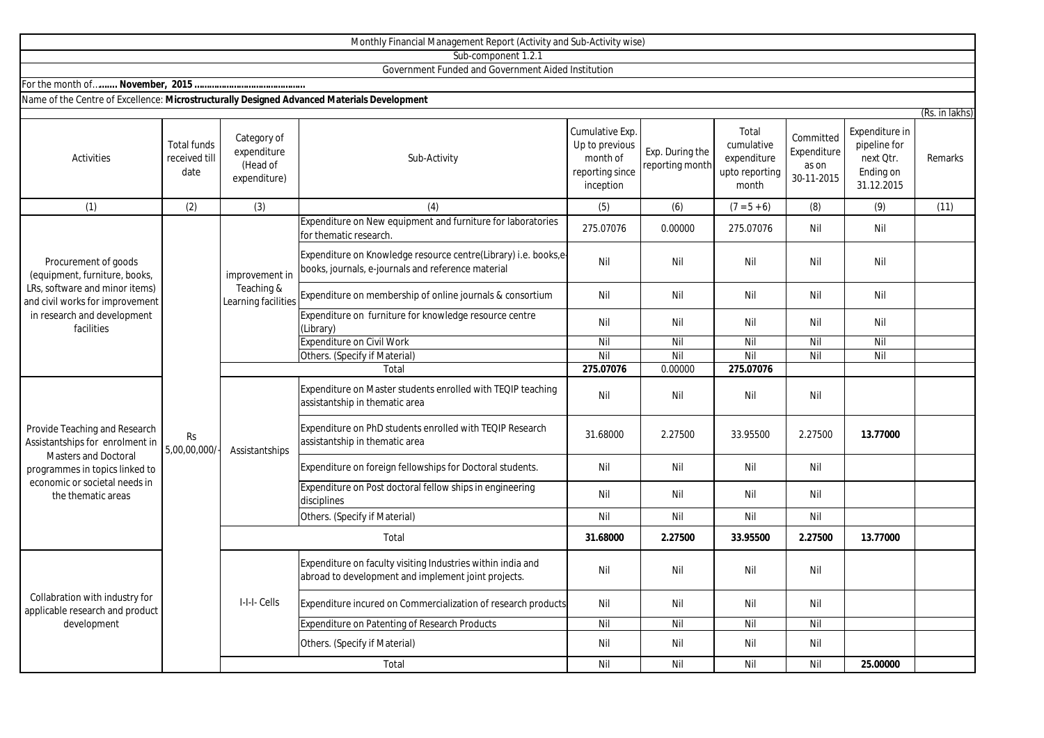|                                                                                                                                                                                          |                                             |                                                        | Monthly Financial Management Report (Activity and Sub-Activity wise)                                                  |                                                                               |                                    |                                                               |                                                 |                                                                        |                |
|------------------------------------------------------------------------------------------------------------------------------------------------------------------------------------------|---------------------------------------------|--------------------------------------------------------|-----------------------------------------------------------------------------------------------------------------------|-------------------------------------------------------------------------------|------------------------------------|---------------------------------------------------------------|-------------------------------------------------|------------------------------------------------------------------------|----------------|
|                                                                                                                                                                                          |                                             |                                                        | Sub-component 1.2.1                                                                                                   |                                                                               |                                    |                                                               |                                                 |                                                                        |                |
|                                                                                                                                                                                          |                                             |                                                        | Government Funded and Government Aided Institution                                                                    |                                                                               |                                    |                                                               |                                                 |                                                                        |                |
|                                                                                                                                                                                          |                                             |                                                        |                                                                                                                       |                                                                               |                                    |                                                               |                                                 |                                                                        |                |
| Name of the Centre of Excellence: Microstructurally Designed Advanced Materials Development                                                                                              |                                             |                                                        |                                                                                                                       |                                                                               |                                    |                                                               |                                                 |                                                                        |                |
|                                                                                                                                                                                          |                                             |                                                        |                                                                                                                       |                                                                               |                                    |                                                               |                                                 |                                                                        | (Rs. in lakhs) |
| Activities                                                                                                                                                                               | <b>Total funds</b><br>received till<br>date | Category of<br>expenditure<br>(Head of<br>expenditure) | Sub-Activity                                                                                                          | Cumulative Exp.<br>Up to previous<br>month of<br>reporting since<br>inception | Exp. During the<br>reporting month | Total<br>cumulative<br>expenditure<br>upto reporting<br>month | Committed<br>Expenditure<br>as on<br>30-11-2015 | Expenditure in<br>pipeline for<br>next Qtr.<br>Ending on<br>31.12.2015 | Remarks        |
| (1)                                                                                                                                                                                      | (2)                                         | (3)                                                    | (4)                                                                                                                   | (5)                                                                           | (6)                                | $(7 = 5 + 6)$                                                 | (8)                                             | (9)                                                                    | (11)           |
| Procurement of goods<br>(equipment, furniture, books,<br>LRs, software and minor items)<br>and civil works for improvement<br>in research and development<br>facilities                  | <b>Rs</b><br>5,00,00,000/                   | improvement in<br>Teaching &<br>Learning facilities    | Expenditure on New equipment and furniture for laboratories<br>for thematic research.                                 | 275.07076                                                                     | 0.00000                            | 275.07076                                                     | Nil                                             | Nil                                                                    |                |
|                                                                                                                                                                                          |                                             |                                                        | Expenditure on Knowledge resource centre(Library) i.e. books,e-<br>books, journals, e-journals and reference material | Nil                                                                           | Nil                                | Nil                                                           | Nil                                             | Nil                                                                    |                |
|                                                                                                                                                                                          |                                             |                                                        | Expenditure on membership of online journals & consortium                                                             | Nil                                                                           | Nil                                | Nil                                                           | Nil                                             | Nil                                                                    |                |
|                                                                                                                                                                                          |                                             |                                                        | Expenditure on furniture for knowledge resource centre<br>(Library)                                                   | Nil                                                                           | Nil                                | Nil                                                           | Nil                                             | Nil                                                                    |                |
|                                                                                                                                                                                          |                                             |                                                        | <b>Expenditure on Civil Work</b>                                                                                      | Nil                                                                           | Nil                                | $\overline{Nil}$                                              | Nil                                             | Nil                                                                    |                |
|                                                                                                                                                                                          |                                             |                                                        | Others. (Specify if Material)                                                                                         | Nil                                                                           | Nil                                | Nil                                                           | Nil                                             | Nil                                                                    |                |
|                                                                                                                                                                                          |                                             |                                                        | Total                                                                                                                 | 275.07076                                                                     | 0.00000                            | 275.07076                                                     |                                                 |                                                                        |                |
| Provide Teaching and Research<br>Assistantships for enrolment in<br><b>Masters and Doctoral</b><br>programmes in topics linked to<br>economic or societal needs in<br>the thematic areas |                                             | Assistantships                                         | Expenditure on Master students enrolled with TEQIP teaching<br>assistantship in thematic area                         | Nil                                                                           | Nil                                | Nil                                                           | Nil                                             |                                                                        |                |
|                                                                                                                                                                                          |                                             |                                                        | Expenditure on PhD students enrolled with TEQIP Research<br>assistantship in thematic area                            | 31.68000                                                                      | 2.27500                            | 33.95500                                                      | 2.27500                                         | 13.77000                                                               |                |
|                                                                                                                                                                                          |                                             |                                                        | Expenditure on foreign fellowships for Doctoral students.                                                             | Nil                                                                           | Nil                                | Nil                                                           | Nil                                             |                                                                        |                |
|                                                                                                                                                                                          |                                             |                                                        | Expenditure on Post doctoral fellow ships in engineering<br>disciplines                                               | Nil                                                                           | Nil                                | Nil                                                           | Nil                                             |                                                                        |                |
|                                                                                                                                                                                          |                                             |                                                        | Others. (Specify if Material)                                                                                         | Nil                                                                           | Nil                                | Nil                                                           | Nil                                             |                                                                        |                |
|                                                                                                                                                                                          |                                             | Total                                                  |                                                                                                                       | 31.68000                                                                      | 2.27500                            | 33.95500                                                      | 2.27500                                         | 13.77000                                                               |                |
| Collabration with industry for<br>applicable research and product<br>development                                                                                                         |                                             | I-I-I- Cells                                           | Expenditure on faculty visiting Industries within india and<br>abroad to development and implement joint projects.    | Nil                                                                           | Nil                                | Nil                                                           | Nil                                             |                                                                        |                |
|                                                                                                                                                                                          |                                             |                                                        | Expenditure incured on Commercialization of research products                                                         | Nil                                                                           | Nil                                | Nil                                                           | Nil                                             |                                                                        |                |
|                                                                                                                                                                                          |                                             |                                                        | <b>Expenditure on Patenting of Research Products</b>                                                                  | Nil                                                                           | Nil                                | Nil                                                           | Nil                                             |                                                                        |                |
|                                                                                                                                                                                          |                                             |                                                        | Others. (Specify if Material)                                                                                         | Nil                                                                           | Nil                                | Nil                                                           | Nil                                             |                                                                        |                |

Total

Nil Nil Nil Nil **25.00000**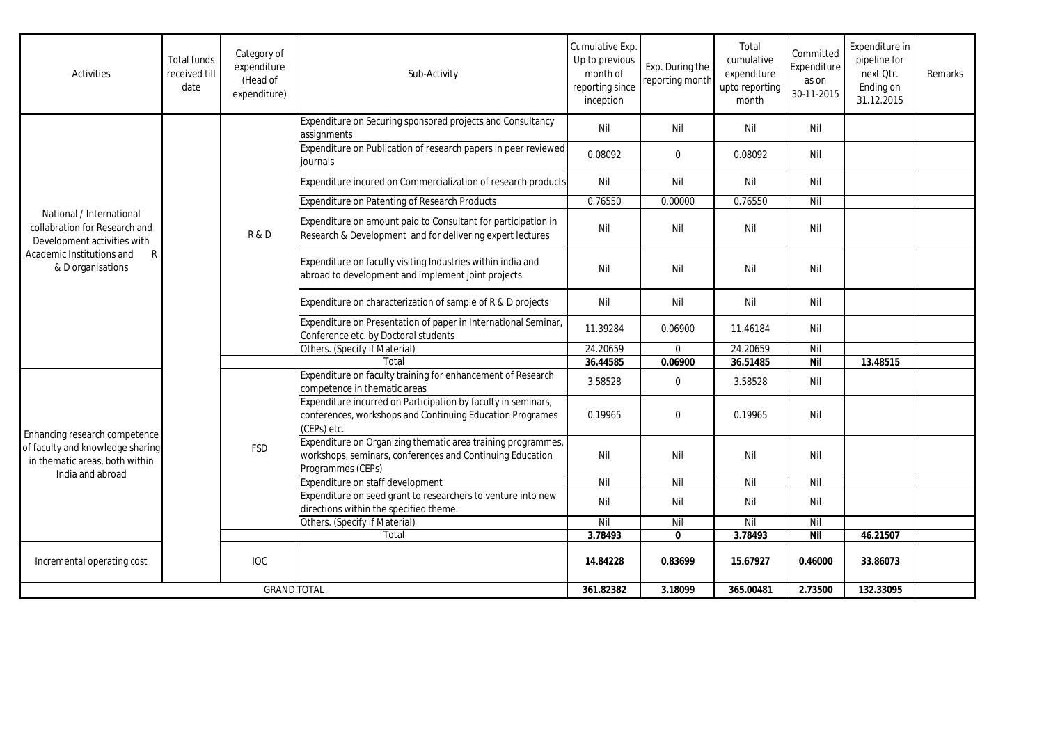| Activities                                                                                                                                                 | <b>Total funds</b><br>received till<br>date | Category of<br>expenditure<br>(Head of<br>expenditure) | Sub-Activity                                                                                                                                   | Cumulative Exp.<br>Up to previous<br>month of<br>reporting since<br>inception | Exp. During the<br>reporting month | Total<br>cumulative<br>expenditure<br>upto reporting<br>month | Committed<br>Expenditure<br>as on<br>30-11-2015 | Expenditure in<br>pipeline for<br>next Otr.<br>Ending on<br>31.12.2015 | Remarks |
|------------------------------------------------------------------------------------------------------------------------------------------------------------|---------------------------------------------|--------------------------------------------------------|------------------------------------------------------------------------------------------------------------------------------------------------|-------------------------------------------------------------------------------|------------------------------------|---------------------------------------------------------------|-------------------------------------------------|------------------------------------------------------------------------|---------|
| National / International<br>collabration for Research and<br>Development activities with<br>Academic Institutions and<br>$\mathsf{R}$<br>& D organisations |                                             | R & D                                                  | Expenditure on Securing sponsored projects and Consultancy<br>assignments                                                                      | Nil                                                                           | Nil                                | Nil                                                           | Nil                                             |                                                                        |         |
|                                                                                                                                                            |                                             |                                                        | Expenditure on Publication of research papers in peer reviewed<br>iournals                                                                     | 0.08092                                                                       | $\mathbf{0}$                       | 0.08092                                                       | Nil                                             |                                                                        |         |
|                                                                                                                                                            |                                             |                                                        | Expenditure incured on Commercialization of research products                                                                                  | Nil                                                                           | Nil                                | Nil                                                           | Nil                                             |                                                                        |         |
|                                                                                                                                                            |                                             |                                                        | Expenditure on Patenting of Research Products                                                                                                  | 0.76550                                                                       | 0.00000                            | 0.76550                                                       | Nil                                             |                                                                        |         |
|                                                                                                                                                            |                                             |                                                        | Expenditure on amount paid to Consultant for participation in<br>Research & Development and for delivering expert lectures                     | Nil                                                                           | Nil                                | Nil                                                           | Nil                                             |                                                                        |         |
|                                                                                                                                                            |                                             |                                                        | Expenditure on faculty visiting Industries within india and<br>abroad to development and implement joint projects.                             | Nil                                                                           | Nil                                | Nil                                                           | Nil                                             |                                                                        |         |
|                                                                                                                                                            |                                             |                                                        | Expenditure on characterization of sample of R & D projects                                                                                    | Nil                                                                           | Nil                                | Nil                                                           | Nil                                             |                                                                        |         |
|                                                                                                                                                            |                                             |                                                        | Expenditure on Presentation of paper in International Seminar,<br>Conference etc. by Doctoral students                                         | 11.39284                                                                      | 0.06900                            | 11.46184                                                      | Nil                                             |                                                                        |         |
|                                                                                                                                                            |                                             |                                                        | Others. (Specify if Material)                                                                                                                  | 24.20659                                                                      | $\mathbf 0$                        | 24.20659                                                      | Nil                                             |                                                                        |         |
|                                                                                                                                                            |                                             |                                                        | Total                                                                                                                                          | 36.44585                                                                      | 0.06900                            | 36.51485                                                      | <b>Nil</b>                                      | 13.48515                                                               |         |
| Enhancing research competence<br>of faculty and knowledge sharing<br>in thematic areas, both within<br>India and abroad                                    |                                             | <b>FSD</b>                                             | Expenditure on faculty training for enhancement of Research<br>competence in thematic areas                                                    | 3.58528                                                                       | $\mathbf 0$                        | 3.58528                                                       | Nil                                             |                                                                        |         |
|                                                                                                                                                            |                                             |                                                        | Expenditure incurred on Participation by faculty in seminars,<br>conferences, workshops and Continuing Education Programes<br>(CEPs) etc.      | 0.19965                                                                       | $\Omega$                           | 0.19965                                                       | Nil                                             |                                                                        |         |
|                                                                                                                                                            |                                             |                                                        | Expenditure on Organizing thematic area training programmes,<br>workshops, seminars, conferences and Continuing Education<br>Programmes (CEPs) | Nil                                                                           | Nil                                | Nil                                                           | Nil                                             |                                                                        |         |
|                                                                                                                                                            |                                             |                                                        | Expenditure on staff development                                                                                                               | Nil                                                                           | Nil                                | Nil                                                           | Nil                                             |                                                                        |         |
|                                                                                                                                                            |                                             |                                                        | Expenditure on seed grant to researchers to venture into new<br>directions within the specified theme.                                         | Nil                                                                           | Nil                                | Nil                                                           | Nil                                             |                                                                        |         |
|                                                                                                                                                            |                                             |                                                        | Others. (Specify if Material)                                                                                                                  | Nil                                                                           | Nil                                | Nil                                                           | Nil                                             |                                                                        |         |
|                                                                                                                                                            |                                             |                                                        | Total                                                                                                                                          | 3.78493                                                                       | $\mathbf{0}$                       | 3.78493                                                       | <b>Nil</b>                                      | 46.21507                                                               |         |
| Incremental operating cost                                                                                                                                 |                                             | <b>IOC</b>                                             |                                                                                                                                                | 14.84228                                                                      | 0.83699                            | 15.67927                                                      | 0.46000                                         | 33.86073                                                               |         |
| <b>GRAND TOTAL</b>                                                                                                                                         |                                             |                                                        | 361.82382                                                                                                                                      | 3.18099                                                                       | 365.00481                          | 2.73500                                                       | 132.33095                                       |                                                                        |         |